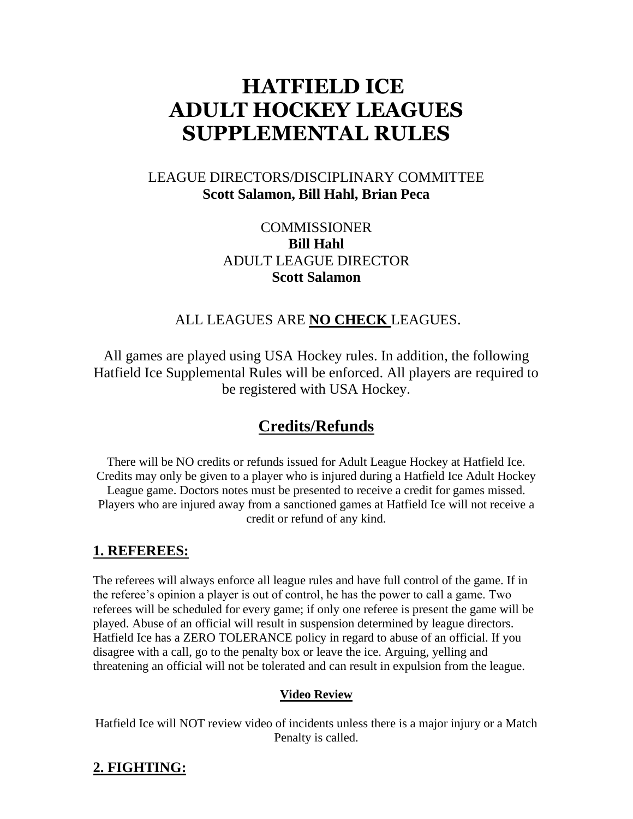# **HATFIELD ICE ADULT HOCKEY LEAGUES SUPPLEMENTAL RULES**

# LEAGUE DIRECTORS/DISCIPLINARY COMMITTEE **Scott Salamon, Bill Hahl, Brian Peca**

# **COMMISSIONER Bill Hahl** ADULT LEAGUE DIRECTOR **Scott Salamon**

# ALL LEAGUES ARE **NO CHECK** LEAGUES.

All games are played using USA Hockey rules. In addition, the following Hatfield Ice Supplemental Rules will be enforced. All players are required to be registered with USA Hockey.

# **Credits/Refunds**

There will be NO credits or refunds issued for Adult League Hockey at Hatfield Ice. Credits may only be given to a player who is injured during a Hatfield Ice Adult Hockey League game. Doctors notes must be presented to receive a credit for games missed. Players who are injured away from a sanctioned games at Hatfield Ice will not receive a credit or refund of any kind.

#### **1. REFEREES:**

The referees will always enforce all league rules and have full control of the game. If in the referee's opinion a player is out of control, he has the power to call a game. Two referees will be scheduled for every game; if only one referee is present the game will be played. Abuse of an official will result in suspension determined by league directors. Hatfield Ice has a ZERO TOLERANCE policy in regard to abuse of an official. If you disagree with a call, go to the penalty box or leave the ice. Arguing, yelling and threatening an official will not be tolerated and can result in expulsion from the league.

#### **Video Review**

Hatfield Ice will NOT review video of incidents unless there is a major injury or a Match Penalty is called.

# **2. FIGHTING:**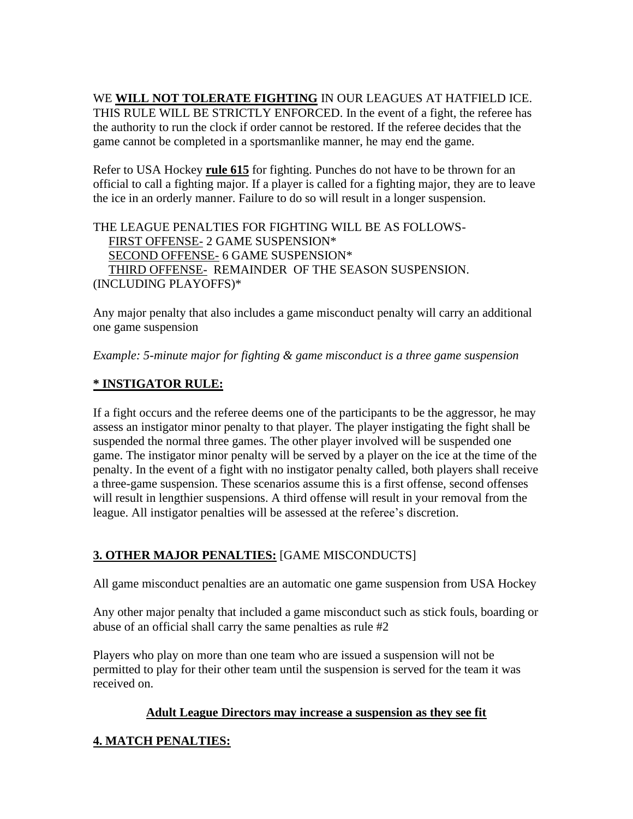WE **WILL NOT TOLERATE FIGHTING** IN OUR LEAGUES AT HATFIELD ICE. THIS RULE WILL BE STRICTLY ENFORCED. In the event of a fight, the referee has the authority to run the clock if order cannot be restored. If the referee decides that the game cannot be completed in a sportsmanlike manner, he may end the game.

Refer to USA Hockey **rule 615** for fighting. Punches do not have to be thrown for an official to call a fighting major. If a player is called for a fighting major, they are to leave the ice in an orderly manner. Failure to do so will result in a longer suspension.

THE LEAGUE PENALTIES FOR FIGHTING WILL BE AS FOLLOWS- FIRST OFFENSE- 2 GAME SUSPENSION\* SECOND OFFENSE- 6 GAME SUSPENSION\* THIRD OFFENSE- REMAINDER OF THE SEASON SUSPENSION. (INCLUDING PLAYOFFS)\*

Any major penalty that also includes a game misconduct penalty will carry an additional one game suspension

*Example: 5-minute major for fighting & game misconduct is a three game suspension*

#### **\* INSTIGATOR RULE:**

If a fight occurs and the referee deems one of the participants to be the aggressor, he may assess an instigator minor penalty to that player. The player instigating the fight shall be suspended the normal three games. The other player involved will be suspended one game. The instigator minor penalty will be served by a player on the ice at the time of the penalty. In the event of a fight with no instigator penalty called, both players shall receive a three-game suspension. These scenarios assume this is a first offense, second offenses will result in lengthier suspensions. A third offense will result in your removal from the league. All instigator penalties will be assessed at the referee's discretion.

# **3. OTHER MAJOR PENALTIES:** [GAME MISCONDUCTS]

All game misconduct penalties are an automatic one game suspension from USA Hockey

Any other major penalty that included a game misconduct such as stick fouls, boarding or abuse of an official shall carry the same penalties as rule #2

Players who play on more than one team who are issued a suspension will not be permitted to play for their other team until the suspension is served for the team it was received on.

#### **Adult League Directors may increase a suspension as they see fit**

# **4. MATCH PENALTIES:**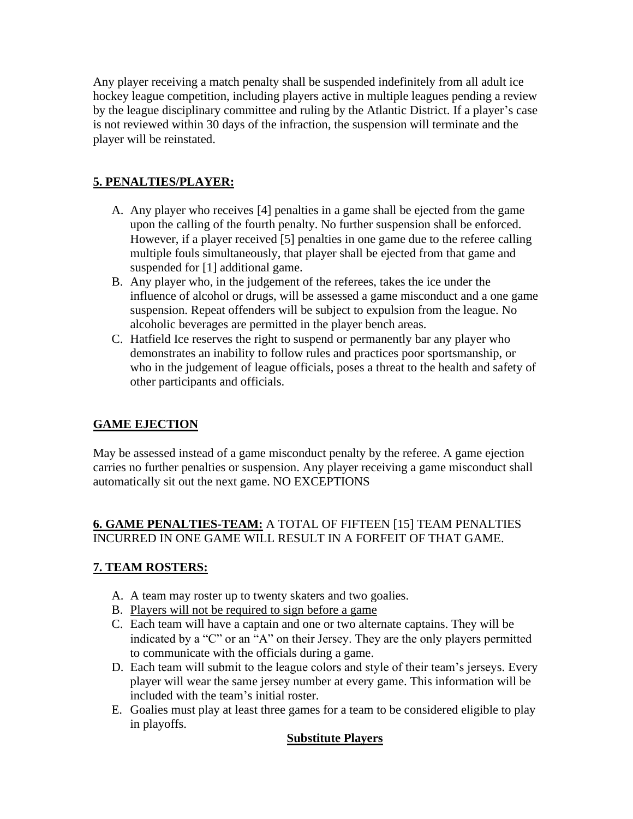Any player receiving a match penalty shall be suspended indefinitely from all adult ice hockey league competition, including players active in multiple leagues pending a review by the league disciplinary committee and ruling by the Atlantic District. If a player's case is not reviewed within 30 days of the infraction, the suspension will terminate and the player will be reinstated.

# **5. PENALTIES/PLAYER:**

- A. Any player who receives [4] penalties in a game shall be ejected from the game upon the calling of the fourth penalty. No further suspension shall be enforced. However, if a player received [5] penalties in one game due to the referee calling multiple fouls simultaneously, that player shall be ejected from that game and suspended for [1] additional game.
- B. Any player who, in the judgement of the referees, takes the ice under the influence of alcohol or drugs, will be assessed a game misconduct and a one game suspension. Repeat offenders will be subject to expulsion from the league. No alcoholic beverages are permitted in the player bench areas.
- C. Hatfield Ice reserves the right to suspend or permanently bar any player who demonstrates an inability to follow rules and practices poor sportsmanship, or who in the judgement of league officials, poses a threat to the health and safety of other participants and officials.

# **GAME EJECTION**

May be assessed instead of a game misconduct penalty by the referee. A game ejection carries no further penalties or suspension. Any player receiving a game misconduct shall automatically sit out the next game. NO EXCEPTIONS

# **6. GAME PENALTIES-TEAM:** A TOTAL OF FIFTEEN [15] TEAM PENALTIES INCURRED IN ONE GAME WILL RESULT IN A FORFEIT OF THAT GAME.

# **7. TEAM ROSTERS:**

- A. A team may roster up to twenty skaters and two goalies.
- B. Players will not be required to sign before a game
- C. Each team will have a captain and one or two alternate captains. They will be indicated by a "C" or an "A" on their Jersey. They are the only players permitted to communicate with the officials during a game.
- D. Each team will submit to the league colors and style of their team's jerseys. Every player will wear the same jersey number at every game. This information will be included with the team's initial roster.
- E. Goalies must play at least three games for a team to be considered eligible to play in playoffs.

#### **Substitute Players**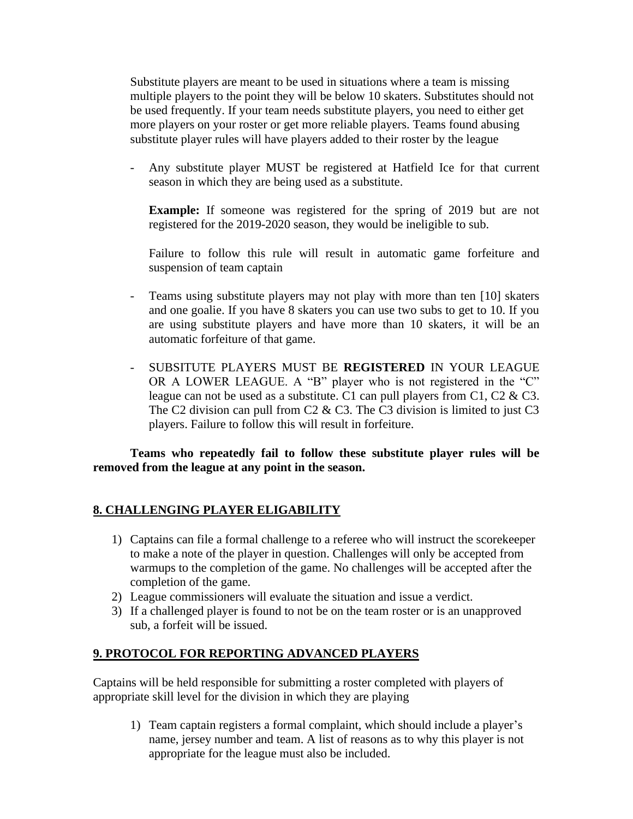Substitute players are meant to be used in situations where a team is missing multiple players to the point they will be below 10 skaters. Substitutes should not be used frequently. If your team needs substitute players, you need to either get more players on your roster or get more reliable players. Teams found abusing substitute player rules will have players added to their roster by the league

- Any substitute player MUST be registered at Hatfield Ice for that current season in which they are being used as a substitute.

**Example:** If someone was registered for the spring of 2019 but are not registered for the 2019-2020 season, they would be ineligible to sub.

Failure to follow this rule will result in automatic game forfeiture and suspension of team captain

- Teams using substitute players may not play with more than ten [10] skaters and one goalie. If you have 8 skaters you can use two subs to get to 10. If you are using substitute players and have more than 10 skaters, it will be an automatic forfeiture of that game.
- SUBSITUTE PLAYERS MUST BE **REGISTERED** IN YOUR LEAGUE OR A LOWER LEAGUE. A "B" player who is not registered in the "C" league can not be used as a substitute. C1 can pull players from C1, C2 & C3. The C2 division can pull from C2 & C3. The C3 division is limited to just C3 players. Failure to follow this will result in forfeiture.

**Teams who repeatedly fail to follow these substitute player rules will be removed from the league at any point in the season.**

#### **8. CHALLENGING PLAYER ELIGABILITY**

- 1) Captains can file a formal challenge to a referee who will instruct the scorekeeper to make a note of the player in question. Challenges will only be accepted from warmups to the completion of the game. No challenges will be accepted after the completion of the game.
- 2) League commissioners will evaluate the situation and issue a verdict.
- 3) If a challenged player is found to not be on the team roster or is an unapproved sub, a forfeit will be issued.

#### **9. PROTOCOL FOR REPORTING ADVANCED PLAYERS**

Captains will be held responsible for submitting a roster completed with players of appropriate skill level for the division in which they are playing

1) Team captain registers a formal complaint, which should include a player's name, jersey number and team. A list of reasons as to why this player is not appropriate for the league must also be included.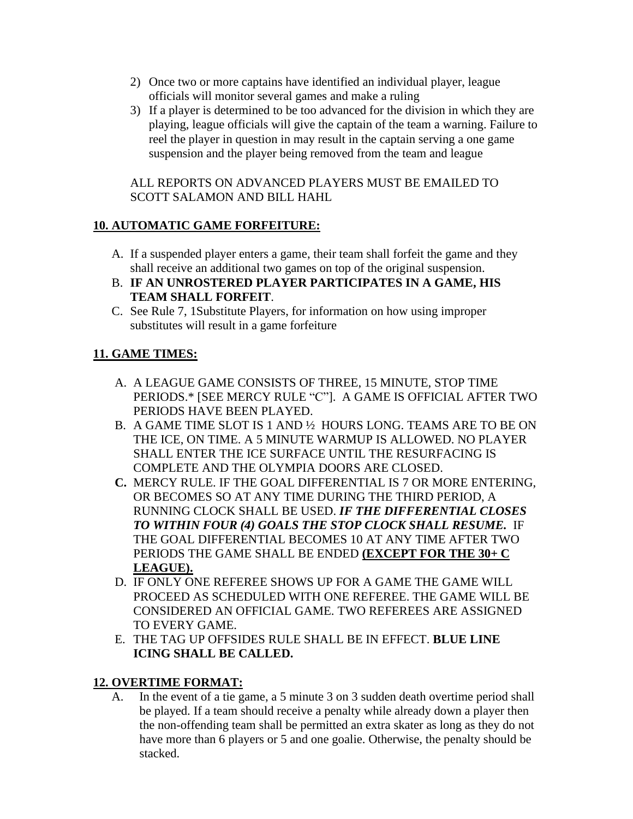- 2) Once two or more captains have identified an individual player, league officials will monitor several games and make a ruling
- 3) If a player is determined to be too advanced for the division in which they are playing, league officials will give the captain of the team a warning. Failure to reel the player in question in may result in the captain serving a one game suspension and the player being removed from the team and league

#### ALL REPORTS ON ADVANCED PLAYERS MUST BE EMAILED TO SCOTT SALAMON AND BILL HAHL

# **10. AUTOMATIC GAME FORFEITURE:**

- A. If a suspended player enters a game, their team shall forfeit the game and they shall receive an additional two games on top of the original suspension.
- B. **IF AN UNROSTERED PLAYER PARTICIPATES IN A GAME, HIS TEAM SHALL FORFEIT**.
- C. See Rule 7, 1Substitute Players, for information on how using improper substitutes will result in a game forfeiture

# **11. GAME TIMES:**

- A. A LEAGUE GAME CONSISTS OF THREE, 15 MINUTE, STOP TIME PERIODS.\* [SEE MERCY RULE "C"]. A GAME IS OFFICIAL AFTER TWO PERIODS HAVE BEEN PLAYED.
- B. A GAME TIME SLOT IS 1 AND ½ HOURS LONG. TEAMS ARE TO BE ON THE ICE, ON TIME. A 5 MINUTE WARMUP IS ALLOWED. NO PLAYER SHALL ENTER THE ICE SURFACE UNTIL THE RESURFACING IS COMPLETE AND THE OLYMPIA DOORS ARE CLOSED.
- **C.** MERCY RULE. IF THE GOAL DIFFERENTIAL IS 7 OR MORE ENTERING, OR BECOMES SO AT ANY TIME DURING THE THIRD PERIOD, A RUNNING CLOCK SHALL BE USED. *IF THE DIFFERENTIAL CLOSES TO WITHIN FOUR (4) GOALS THE STOP CLOCK SHALL RESUME.* IF THE GOAL DIFFERENTIAL BECOMES 10 AT ANY TIME AFTER TWO PERIODS THE GAME SHALL BE ENDED **(EXCEPT FOR THE 30+ C LEAGUE).**
- D. IF ONLY ONE REFEREE SHOWS UP FOR A GAME THE GAME WILL PROCEED AS SCHEDULED WITH ONE REFEREE. THE GAME WILL BE CONSIDERED AN OFFICIAL GAME. TWO REFEREES ARE ASSIGNED TO EVERY GAME.
- E. THE TAG UP OFFSIDES RULE SHALL BE IN EFFECT. **BLUE LINE ICING SHALL BE CALLED.**

# **12. OVERTIME FORMAT:**

A. In the event of a tie game, a 5 minute 3 on 3 sudden death overtime period shall be played. If a team should receive a penalty while already down a player then the non-offending team shall be permitted an extra skater as long as they do not have more than 6 players or 5 and one goalie. Otherwise, the penalty should be stacked.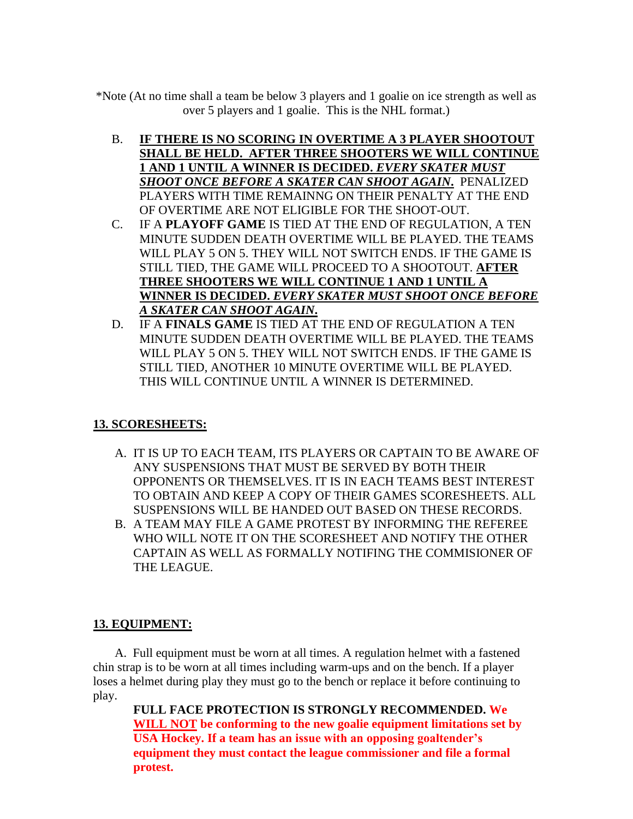\*Note (At no time shall a team be below 3 players and 1 goalie on ice strength as well as over 5 players and 1 goalie. This is the NHL format.)

- B. **IF THERE IS NO SCORING IN OVERTIME A 3 PLAYER SHOOTOUT SHALL BE HELD. AFTER THREE SHOOTERS WE WILL CONTINUE 1 AND 1 UNTIL A WINNER IS DECIDED.** *EVERY SKATER MUST SHOOT ONCE BEFORE A SKATER CAN SHOOT AGAIN***.** PENALIZED PLAYERS WITH TIME REMAINNG ON THEIR PENALTY AT THE END OF OVERTIME ARE NOT ELIGIBLE FOR THE SHOOT-OUT.
- C. IF A **PLAYOFF GAME** IS TIED AT THE END OF REGULATION, A TEN MINUTE SUDDEN DEATH OVERTIME WILL BE PLAYED. THE TEAMS WILL PLAY 5 ON 5. THEY WILL NOT SWITCH ENDS. IF THE GAME IS STILL TIED, THE GAME WILL PROCEED TO A SHOOTOUT. **AFTER THREE SHOOTERS WE WILL CONTINUE 1 AND 1 UNTIL A WINNER IS DECIDED.** *EVERY SKATER MUST SHOOT ONCE BEFORE A SKATER CAN SHOOT AGAIN***.**
- D. IF A **FINALS GAME** IS TIED AT THE END OF REGULATION A TEN MINUTE SUDDEN DEATH OVERTIME WILL BE PLAYED. THE TEAMS WILL PLAY 5 ON 5. THEY WILL NOT SWITCH ENDS. IF THE GAME IS STILL TIED, ANOTHER 10 MINUTE OVERTIME WILL BE PLAYED. THIS WILL CONTINUE UNTIL A WINNER IS DETERMINED.

# **13. SCORESHEETS:**

- A. IT IS UP TO EACH TEAM, ITS PLAYERS OR CAPTAIN TO BE AWARE OF ANY SUSPENSIONS THAT MUST BE SERVED BY BOTH THEIR OPPONENTS OR THEMSELVES. IT IS IN EACH TEAMS BEST INTEREST TO OBTAIN AND KEEP A COPY OF THEIR GAMES SCORESHEETS. ALL SUSPENSIONS WILL BE HANDED OUT BASED ON THESE RECORDS.
- B. A TEAM MAY FILE A GAME PROTEST BY INFORMING THE REFEREE WHO WILL NOTE IT ON THE SCORESHEET AND NOTIFY THE OTHER CAPTAIN AS WELL AS FORMALLY NOTIFING THE COMMISIONER OF THE LEAGUE.

# **13. EQUIPMENT:**

 A. Full equipment must be worn at all times. A regulation helmet with a fastened chin strap is to be worn at all times including warm-ups and on the bench. If a player loses a helmet during play they must go to the bench or replace it before continuing to play.

**FULL FACE PROTECTION IS STRONGLY RECOMMENDED. We WILL NOT be conforming to the new goalie equipment limitations set by USA Hockey. If a team has an issue with an opposing goaltender's equipment they must contact the league commissioner and file a formal protest.**